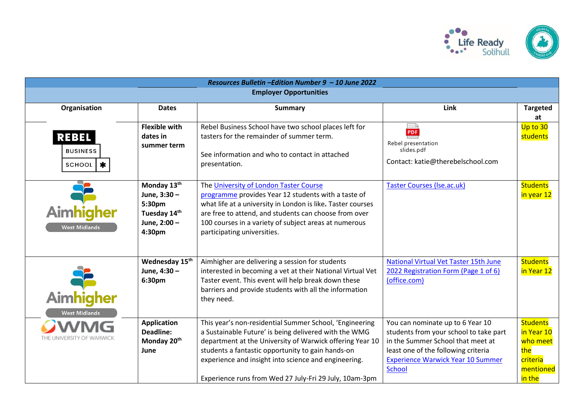

| Resources Bulletin -Edition Number 9 - 10 June 2022 |                                                                                 |                                                                                                                                                                                                                                                                                                                                                     |                                                                                                                                                                                                                     |                                                                                     |  |
|-----------------------------------------------------|---------------------------------------------------------------------------------|-----------------------------------------------------------------------------------------------------------------------------------------------------------------------------------------------------------------------------------------------------------------------------------------------------------------------------------------------------|---------------------------------------------------------------------------------------------------------------------------------------------------------------------------------------------------------------------|-------------------------------------------------------------------------------------|--|
| <b>Employer Opportunities</b>                       |                                                                                 |                                                                                                                                                                                                                                                                                                                                                     |                                                                                                                                                                                                                     |                                                                                     |  |
| Organisation                                        | <b>Dates</b>                                                                    | <b>Summary</b>                                                                                                                                                                                                                                                                                                                                      | Link                                                                                                                                                                                                                | <b>Targeted</b><br>at                                                               |  |
| <b>REBEL</b><br><b>BUSINESS</b><br>$\ast$<br>SCHOOL | <b>Flexible with</b><br>dates in<br>summer term                                 | Rebel Business School have two school places left for<br>tasters for the remainder of summer term.<br>See information and who to contact in attached<br>presentation.                                                                                                                                                                               | PDF<br>Rebel presentation<br>slides.pdf<br>Contact: katie@therebelschool.com                                                                                                                                        | Up to 30<br>students                                                                |  |
| Aimhigher<br><b>West Midlands</b>                   | Monday 13th<br>June, 3:30 -<br>5:30pm<br>Tuesday 14th<br>June, 2:00 -<br>4:30pm | The University of London Taster Course<br>programme provides Year 12 students with a taste of<br>what life at a university in London is like. Taster courses<br>are free to attend, and students can choose from over<br>100 courses in a variety of subject areas at numerous<br>participating universities.                                       | <b>Taster Courses (Ise.ac.uk)</b>                                                                                                                                                                                   | <b>Students</b><br>in year 12                                                       |  |
| Aimhigher<br><b>West Midlands</b>                   | Wednesday 15 <sup>th</sup><br>June, 4:30 -<br>6:30pm                            | Aimhigher are delivering a session for students<br>interested in becoming a vet at their National Virtual Vet<br>Taster event. This event will help break down these<br>barriers and provide students with all the information<br>they need.                                                                                                        | National Virtual Vet Taster 15th June<br>2022 Registration Form (Page 1 of 6)<br>(office.com)                                                                                                                       | <b>Students</b><br>in Year 12                                                       |  |
| THE UNIVERSITY OF WARWICK                           | <b>Application</b><br><b>Deadline:</b><br>Monday 20 <sup>th</sup><br>June       | This year's non-residential Summer School, 'Engineering<br>a Sustainable Future' is being delivered with the WMG<br>department at the University of Warwick offering Year 10<br>students a fantastic opportunity to gain hands-on<br>experience and insight into science and engineering.<br>Experience runs from Wed 27 July-Fri 29 July, 10am-3pm | You can nominate up to 6 Year 10<br>students from your school to take part<br>in the Summer School that meet at<br>least one of the following criteria<br><b>Experience Warwick Year 10 Summer</b><br><b>School</b> | <b>Students</b><br>in Year 10<br>who meet<br>the<br>criteria<br>mentioned<br>in the |  |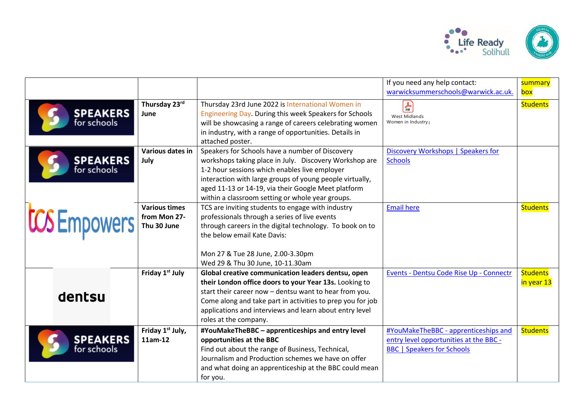

|                                |                                                     |                                                                                                                                                                                                                                                                                                                                   | If you need any help contact:<br>warwicksummerschools@warwick.ac.uk.                                                | summary<br>box                |
|--------------------------------|-----------------------------------------------------|-----------------------------------------------------------------------------------------------------------------------------------------------------------------------------------------------------------------------------------------------------------------------------------------------------------------------------------|---------------------------------------------------------------------------------------------------------------------|-------------------------------|
| <b>SPEAKERS</b><br>for schools | Thursday 23rd<br>June                               | Thursday 23rd June 2022 is International Women in<br>Engineering Day. During this week Speakers for Schools<br>will be showcasing a range of careers celebrating women<br>in industry, with a range of opportunities. Details in<br>attached poster.                                                                              | $\frac{1}{\log}$<br><b>West Midlands</b><br>Women in Industry.                                                      | <b>Students</b>               |
| <b>SPEAKERS</b><br>for schools | Various dates in<br>July                            | Speakers for Schools have a number of Discovery<br>workshops taking place in July. Discovery Workshop are<br>1-2 hour sessions which enables live employer<br>interaction with large groups of young people virtually,<br>aged 11-13 or 14-19, via their Google Meet platform<br>within a classroom setting or whole year groups. | Discovery Workshops   Speakers for<br><b>Schools</b>                                                                |                               |
| <b>CCS</b> Empowers            | <b>Various times</b><br>from Mon 27-<br>Thu 30 June | TCS are inviting students to engage with industry<br>professionals through a series of live events<br>through careers in the digital technology. To book on to<br>the below email Kate Davis:<br>Mon 27 & Tue 28 June, 2.00-3.30pm<br>Wed 29 & Thu 30 June, 10-11.30am                                                            | <b>Email here</b>                                                                                                   | <b>Students</b>               |
| dentsu                         | Friday 1st July                                     | Global creative communication leaders dentsu, open<br>their London office doors to your Year 13s. Looking to<br>start their career now - dentsu want to hear from you.<br>Come along and take part in activities to prep you for job<br>applications and interviews and learn about entry level<br>roles at the company.          | Events - Dentsu Code Rise Up - Connectr                                                                             | <b>Students</b><br>in year 13 |
| <b>SPEAKERS</b><br>for schools | Friday 1 <sup>st</sup> July,<br>11am-12             | #YouMakeTheBBC - apprenticeships and entry level<br>opportunities at the BBC<br>Find out about the range of Business, Technical,<br>Journalism and Production schemes we have on offer<br>and what doing an apprenticeship at the BBC could mean<br>for you.                                                                      | #YouMakeTheBBC - apprenticeships and<br>entry level opportunities at the BBC -<br><b>BBC</b>   Speakers for Schools | <b>Students</b>               |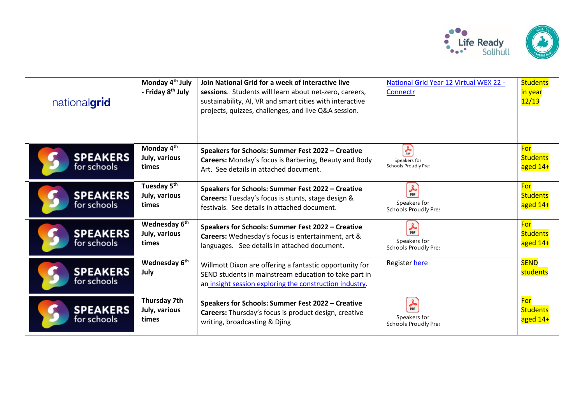

| nationalgrid                   | Monday 4 <sup>th</sup> July<br>- Friday 8 <sup>th</sup> July | Join National Grid for a week of interactive live<br>sessions. Students will learn about net-zero, careers,<br>sustainability, AI, VR and smart cities with interactive<br>projects, quizzes, challenges, and live Q&A session. | National Grid Year 12 Virtual WEX 22 -<br>Connectr      | <b>Students</b><br><mark>in year</mark><br>12/13 |
|--------------------------------|--------------------------------------------------------------|---------------------------------------------------------------------------------------------------------------------------------------------------------------------------------------------------------------------------------|---------------------------------------------------------|--------------------------------------------------|
| <b>SPEAKERS</b><br>for schools | Monday 4 <sup>th</sup><br>July, various<br>times             | Speakers for Schools: Summer Fest 2022 - Creative<br>Careers: Monday's focus is Barbering, Beauty and Body<br>Art. See details in attached document.                                                                            | $\frac{1}{\pi}$<br>Speakers for<br>Schools Proudly Pres | For<br><b>Students</b><br>aged 14+               |
| <b>SPEAKERS</b><br>for schools | Tuesday 5 <sup>th</sup><br>July, various<br>times            | Speakers for Schools: Summer Fest 2022 - Creative<br>Careers: Tuesday's focus is stunts, stage design &<br>festivals. See details in attached document.                                                                         | 晶<br>Speakers for<br>Schools Proudly Pre:               | For<br><b>Students</b><br>aged 14+               |
| <b>SPEAKERS</b><br>for schools | Wednesday 6 <sup>th</sup><br>July, various<br>times          | Speakers for Schools: Summer Fest 2022 - Creative<br>Careers: Wednesday's focus is entertainment, art &<br>languages. See details in attached document.                                                                         | $\frac{1}{\pi}$<br>Speakers for<br>Schools Proudly Pre: | For<br><b>Students</b><br>aged 14+               |
| <b>SPEAKERS</b><br>for schools | Wednesday 6 <sup>th</sup><br>July                            | Willmott Dixon are offering a fantastic opportunity for<br>SEND students in mainstream education to take part in<br>an insight session exploring the construction industry.                                                     | Register here                                           | <b>SEND</b><br>students                          |
| <b>SPEAKERS</b><br>for schools | Thursday 7th<br>July, various<br>times                       | Speakers for Schools: Summer Fest 2022 - Creative<br>Careers: Thursday's focus is product design, creative<br>writing, broadcasting & Djing                                                                                     | $\frac{1}{\pi}$<br>Speakers for<br>Schools Proudly Pre: | For<br><b>Students</b><br>aged 14+               |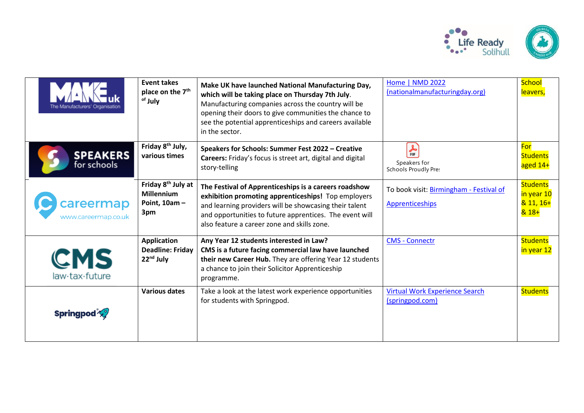

| The Manufacturers' Organisation  | <b>Event takes</b><br>place on the 7 <sup>th</sup><br><sup>of</sup> July      | Make UK have launched National Manufacturing Day,<br>which will be taking place on Thursday 7th July.<br>Manufacturing companies across the country will be<br>opening their doors to give communities the chance to<br>see the potential apprenticeships and careers available<br>in the sector. | Home   NMD 2022<br>(nationalmanufacturingday.org)                           | School<br>leavers,                                  |
|----------------------------------|-------------------------------------------------------------------------------|---------------------------------------------------------------------------------------------------------------------------------------------------------------------------------------------------------------------------------------------------------------------------------------------------|-----------------------------------------------------------------------------|-----------------------------------------------------|
| <b>SPEAKERS</b><br>for schools   | Friday 8 <sup>th</sup> July,<br>various times                                 | Speakers for Schools: Summer Fest 2022 - Creative<br>Careers: Friday's focus is street art, digital and digital<br>story-telling                                                                                                                                                                  | $\frac{1}{\text{p} \cdot \text{p}}$<br>Speakers for<br>Schools Proudly Pre: | For<br><b>Students</b><br>aged 14+                  |
| careermap<br>www.careermap.co.uk | Friday 8 <sup>th</sup> July at<br><b>Millennium</b><br>Point, $10am -$<br>3pm | The Festival of Apprenticeships is a careers roadshow<br>exhibition promoting apprenticeships! Top employers<br>and learning providers will be showcasing their talent<br>and opportunities to future apprentices. The event will<br>also feature a career zone and skills zone.                  | To book visit: Birmingham - Festival of<br><b>Apprenticeships</b>           | <b>Students</b><br>in year 10<br>$811,16+$<br>& 18+ |
| CMS<br>law-tax-future            | <b>Application</b><br><b>Deadline: Friday</b><br>22 <sup>nd</sup> July        | Any Year 12 students interested in Law?<br>CMS is a future facing commercial law have launched<br>their new Career Hub. They are offering Year 12 students<br>a chance to join their Solicitor Apprenticeship<br>programme.                                                                       | <b>CMS - Connectr</b>                                                       | <b>Students</b><br>in year 12                       |
| <b>Springpod</b>                 | <b>Various dates</b>                                                          | Take a look at the latest work experience opportunities<br>for students with Springpod.                                                                                                                                                                                                           | <b>Virtual Work Experience Search</b><br>(springpod.com)                    | <b>Students</b>                                     |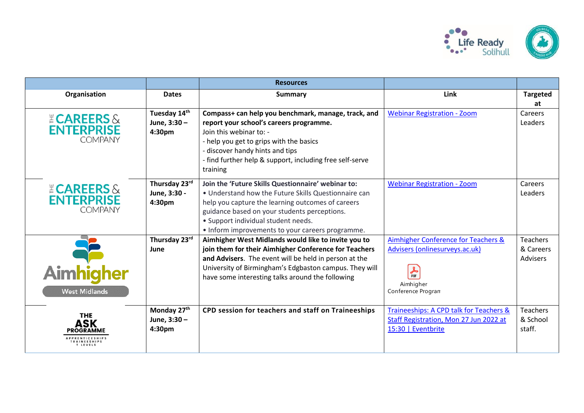

|                                                              |                                                     | <b>Resources</b>                                                                                                                                                                                                                                                                                           |                                                                                                                                                 |                                          |
|--------------------------------------------------------------|-----------------------------------------------------|------------------------------------------------------------------------------------------------------------------------------------------------------------------------------------------------------------------------------------------------------------------------------------------------------------|-------------------------------------------------------------------------------------------------------------------------------------------------|------------------------------------------|
| Organisation                                                 | <b>Dates</b>                                        | <b>Summary</b>                                                                                                                                                                                                                                                                                             | Link                                                                                                                                            | <b>Targeted</b><br>at                    |
| <b>ECAREERS &amp;</b><br><b>ENTERPRISE</b><br><b>COMPANY</b> | Tuesday 14th<br>June, 3:30 -<br>4:30pm              | Compass+ can help you benchmark, manage, track, and<br>report your school's careers programme.<br>Join this webinar to: -<br>- help you get to grips with the basics<br>- discover handy hints and tips<br>- find further help & support, including free self-serve<br>training                            | <b>Webinar Registration - Zoom</b>                                                                                                              | Careers<br>Leaders                       |
| <b>ECAREERS &amp;</b><br><b>ENTERPRISE</b><br><b>COMPANY</b> | Thursday 23rd<br>June, 3:30 -<br>4:30 <sub>pm</sub> | Join the 'Future Skills Questionnaire' webinar to:<br>• Understand how the Future Skills Questionnaire can<br>help you capture the learning outcomes of careers<br>guidance based on your students perceptions.<br>• Support individual student needs.<br>• Inform improvements to your careers programme. | <b>Webinar Registration - Zoom</b>                                                                                                              | Careers<br>Leaders                       |
| Aimhigher<br><b>West Midlands</b>                            | Thursday 23rd<br>June                               | Aimhigher West Midlands would like to invite you to<br>join them for their Aimhigher Conference for Teachers<br>and Advisers. The event will be held in person at the<br>University of Birmingham's Edgbaston campus. They will<br>have some interesting talks around the following                        | Aimhigher Conference for Teachers &<br>Advisers (onlinesurveys.ac.uk)<br>$\frac{1}{\text{p} \cdot \text{p}}$<br>Aimhigher<br>Conference Program | <b>Teachers</b><br>& Careers<br>Advisers |
| <b>THE</b><br>ASK<br>PROGRAMME<br>T LEVELS                   | Monday 27th<br>June, 3:30 -<br>4:30pm               | CPD session for teachers and staff on Traineeships                                                                                                                                                                                                                                                         | Traineeships: A CPD talk for Teachers &<br>Staff Registration, Mon 27 Jun 2022 at<br>15:30   Eventbrite                                         | Teachers<br>& School<br>staff.           |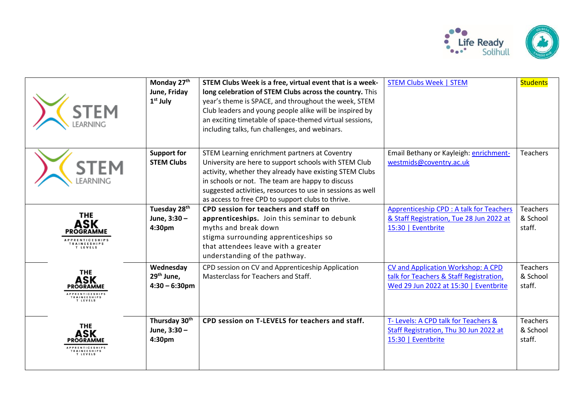

| <b>STEM</b>                                                                                              | Monday 27th<br>June, Friday<br>$1st$ July          | STEM Clubs Week is a free, virtual event that is a week-<br>long celebration of STEM Clubs across the country. This<br>year's theme is SPACE, and throughout the week, STEM<br>Club leaders and young people alike will be inspired by<br>an exciting timetable of space-themed virtual sessions,<br>including talks, fun challenges, and webinars. | <b>STEM Clubs Week   STEM</b>                                                                                          | <b>Students</b>                       |
|----------------------------------------------------------------------------------------------------------|----------------------------------------------------|-----------------------------------------------------------------------------------------------------------------------------------------------------------------------------------------------------------------------------------------------------------------------------------------------------------------------------------------------------|------------------------------------------------------------------------------------------------------------------------|---------------------------------------|
|                                                                                                          | <b>Support for</b><br><b>STEM Clubs</b>            | STEM Learning enrichment partners at Coventry<br>University are here to support schools with STEM Club<br>activity, whether they already have existing STEM Clubs<br>in schools or not. The team are happy to discuss<br>suggested activities, resources to use in sessions as well<br>as access to free CPD to support clubs to thrive.            | Email Bethany or Kayleigh: enrichment-<br>westmids@coventry.ac.uk                                                      | <b>Teachers</b>                       |
| <b>THE</b><br>ASK<br><b>PROGRAMME</b><br><b>IPPRENTICESHIPS</b><br><b>RAINEESHIPS</b><br>T LEVELS        | Tuesday 28 <sup>th</sup><br>June, 3:30 -<br>4:30pm | CPD session for teachers and staff on<br>apprenticeships. Join this seminar to debunk<br>myths and break down<br>stigma surrounding apprenticeships so<br>that attendees leave with a greater<br>understanding of the pathway.                                                                                                                      | Apprenticeship CPD : A talk for Teachers<br>& Staff Registration, Tue 28 Jun 2022 at<br>15:30   Eventbrite             | <b>Teachers</b><br>& School<br>staff. |
| <b>THE</b><br><b>ASK</b><br><b>PROGRAMME</b><br><b>PPRENTICESHIPS</b><br><b>TRAINEESHIPS</b><br>T LEVELS | Wednesday<br>$29th$ June,<br>$4:30 - 6:30$ pm      | CPD session on CV and Apprenticeship Application<br>Masterclass for Teachers and Staff.                                                                                                                                                                                                                                                             | CV and Application Workshop: A CPD<br>talk for Teachers & Staff Registration,<br>Wed 29 Jun 2022 at 15:30   Eventbrite | <b>Teachers</b><br>& School<br>staff. |
| <b>THE</b><br><b>ASK</b><br><b>PROGRAMME</b><br>PPRENTICESHIPS<br><b>TRAINEESHIPS</b><br><b>TIFVELS</b>  | Thursday 30th<br>June, 3:30 -<br>4:30pm            | CPD session on T-LEVELS for teachers and staff.                                                                                                                                                                                                                                                                                                     | T- Levels: A CPD talk for Teachers &<br>Staff Registration, Thu 30 Jun 2022 at<br>15:30   Eventbrite                   | <b>Teachers</b><br>& School<br>staff. |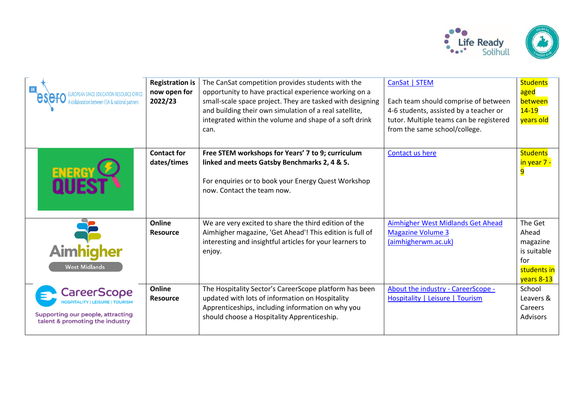

| collaboration between ESA & national partners                                                                                | <b>Registration is</b><br>now open for<br>2022/23 | The CanSat competition provides students with the<br>opportunity to have practical experience working on a<br>small-scale space project. They are tasked with designing<br>and building their own simulation of a real satellite,<br>integrated within the volume and shape of a soft drink<br>can. | CanSat   STEM<br>Each team should comprise of between<br>4-6 students, assisted by a teacher or<br>tutor. Multiple teams can be registered<br>from the same school/college. | <b>Students</b><br>aged<br>between<br>$14 - 19$<br>years old                    |
|------------------------------------------------------------------------------------------------------------------------------|---------------------------------------------------|-----------------------------------------------------------------------------------------------------------------------------------------------------------------------------------------------------------------------------------------------------------------------------------------------------|-----------------------------------------------------------------------------------------------------------------------------------------------------------------------------|---------------------------------------------------------------------------------|
|                                                                                                                              | <b>Contact for</b><br>dates/times                 | Free STEM workshops for Years' 7 to 9; curriculum<br>linked and meets Gatsby Benchmarks 2, 4 & 5.<br>For enquiries or to book your Energy Quest Workshop<br>now. Contact the team now.                                                                                                              | Contact us here                                                                                                                                                             | Students<br><mark>in year 7 -</mark><br>$\overline{9}$                          |
| <b>Aimhigher</b><br><b>West Midlands</b>                                                                                     | Online<br><b>Resource</b>                         | We are very excited to share the third edition of the<br>Aimhigher magazine, 'Get Ahead'! This edition is full of<br>interesting and insightful articles for your learners to<br>enjoy.                                                                                                             | Aimhigher West Midlands Get Ahead<br><b>Magazine Volume 3</b><br>(aimhigherwm.ac.uk)                                                                                        | The Get<br>Ahead<br>magazine<br>is suitable<br>for<br>students in<br>years 8-13 |
| CareerScope<br><b>OSPITALITY   LEISURE   TOURISM</b><br>Supporting our people, attracting<br>talent & promoting the industry | Online<br><b>Resource</b>                         | The Hospitality Sector's CareerScope platform has been<br>updated with lots of information on Hospitality<br>Apprenticeships, including information on why you<br>should choose a Hospitality Apprenticeship.                                                                                       | About the industry - CareerScope -<br>Hospitality   Leisure   Tourism                                                                                                       | School<br>Leavers &<br>Careers<br>Advisors                                      |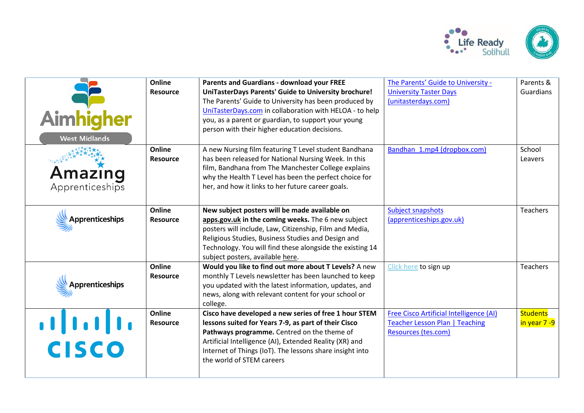

| Aimhigher<br><b>West Midlands</b> | Online<br><b>Resource</b><br>Online | <b>Parents and Guardians - download your FREE</b><br>UniTasterDays Parents' Guide to University brochure!<br>The Parents' Guide to University has been produced by<br>UniTasterDays.com in collaboration with HELOA - to help<br>you, as a parent or guardian, to support your young<br>person with their higher education decisions.<br>A new Nursing film featuring T Level student Bandhana | The Parents' Guide to University -<br><b>University Taster Days</b><br>(unitasterdays.com)<br>Bandhan 1.mp4 (dropbox.com) | Parents &<br><b>Guardians</b><br>School |
|-----------------------------------|-------------------------------------|------------------------------------------------------------------------------------------------------------------------------------------------------------------------------------------------------------------------------------------------------------------------------------------------------------------------------------------------------------------------------------------------|---------------------------------------------------------------------------------------------------------------------------|-----------------------------------------|
| Amazing<br>Apprenticeships        | <b>Resource</b>                     | has been released for National Nursing Week. In this<br>film, Bandhana from The Manchester College explains<br>why the Health T Level has been the perfect choice for<br>her, and how it links to her future career goals.                                                                                                                                                                     |                                                                                                                           | Leavers                                 |
| <b>Apprenticeships</b>            | Online<br><b>Resource</b>           | New subject posters will be made available on<br>apps.gov.uk in the coming weeks. The 6 new subject<br>posters will include, Law, Citizenship, Film and Media,<br>Religious Studies, Business Studies and Design and<br>Technology. You will find these alongside the existing 14<br>subject posters, available here.                                                                          | Subject snapshots<br>(apprenticeships.gov.uk)                                                                             | Teachers                                |
| <b>Apprenticeships</b>            | Online<br><b>Resource</b>           | Would you like to find out more about T Levels? A new<br>monthly T Levels newsletter has been launched to keep<br>you updated with the latest information, updates, and<br>news, along with relevant content for your school or<br>college.                                                                                                                                                    | Click here to sign up                                                                                                     | Teachers                                |
| $\frac{1}{2}$<br><b>CISCO</b>     | Online<br><b>Resource</b>           | Cisco have developed a new series of free 1 hour STEM<br>lessons suited for Years 7-9, as part of their Cisco<br>Pathways programme. Centred on the theme of<br>Artificial Intelligence (AI), Extended Reality (XR) and<br>Internet of Things (IoT). The lessons share insight into<br>the world of STEM careers                                                                               | Free Cisco Artificial Intelligence (AI)<br><b>Teacher Lesson Plan   Teaching</b><br>Resources (tes.com)                   | <b>Students</b><br>in year 7 -9         |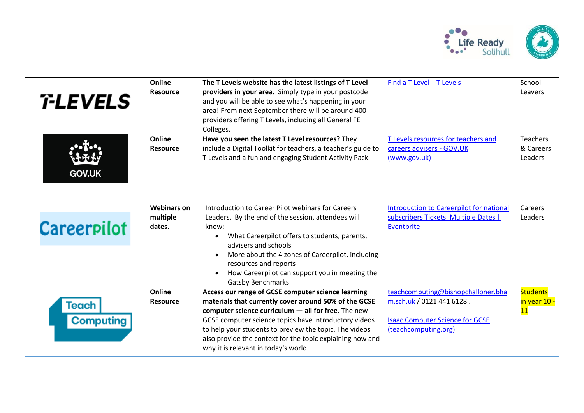

| <i><b>T-LEVELS</b></i>    | Online<br><b>Resource</b>                | The T Levels website has the latest listings of T Level<br>providers in your area. Simply type in your postcode<br>and you will be able to see what's happening in your<br>area! From next September there will be around 400<br>providers offering T Levels, including all General FE<br>Colleges.                                                                                          | Find a T Level   T Levels                                                                                                         | School<br>Leavers                                  |
|---------------------------|------------------------------------------|----------------------------------------------------------------------------------------------------------------------------------------------------------------------------------------------------------------------------------------------------------------------------------------------------------------------------------------------------------------------------------------------|-----------------------------------------------------------------------------------------------------------------------------------|----------------------------------------------------|
| <b>GOV.UK</b>             | Online<br><b>Resource</b>                | Have you seen the latest T Level resources? They<br>include a Digital Toolkit for teachers, a teacher's guide to<br>T Levels and a fun and engaging Student Activity Pack.                                                                                                                                                                                                                   | T Levels resources for teachers and<br>careers advisers - GOV.UK<br>(www.gov.uk)                                                  | <b>Teachers</b><br>& Careers<br>Leaders            |
| <b>Careerpilot</b>        | <b>Webinars on</b><br>multiple<br>dates. | Introduction to Career Pilot webinars for Careers<br>Leaders. By the end of the session, attendees will<br>know:<br>What Careerpilot offers to students, parents,<br>$\bullet$<br>advisers and schools<br>More about the 4 zones of Careerpilot, including<br>$\bullet$<br>resources and reports<br>How Careerpilot can support you in meeting the<br>$\bullet$<br><b>Gatsby Benchmarks</b>  | <b>Introduction to Careerpilot for national</b><br>subscribers Tickets, Multiple Dates  <br>Eventbrite                            | Careers<br>Leaders                                 |
| Teach<br><b>Computing</b> | Online<br><b>Resource</b>                | Access our range of GCSE computer science learning<br>materials that currently cover around 50% of the GCSE<br>computer science curriculum $-$ all for free. The new<br>GCSE computer science topics have introductory videos<br>to help your students to preview the topic. The videos<br>also provide the context for the topic explaining how and<br>why it is relevant in today's world. | teachcomputing@bishopchalloner.bha<br>m.sch.uk / 0121 441 6128.<br><b>Isaac Computer Science for GCSE</b><br>(teachcomputing.org) | <b>Students</b><br>in year 10 -<br>$\overline{11}$ |